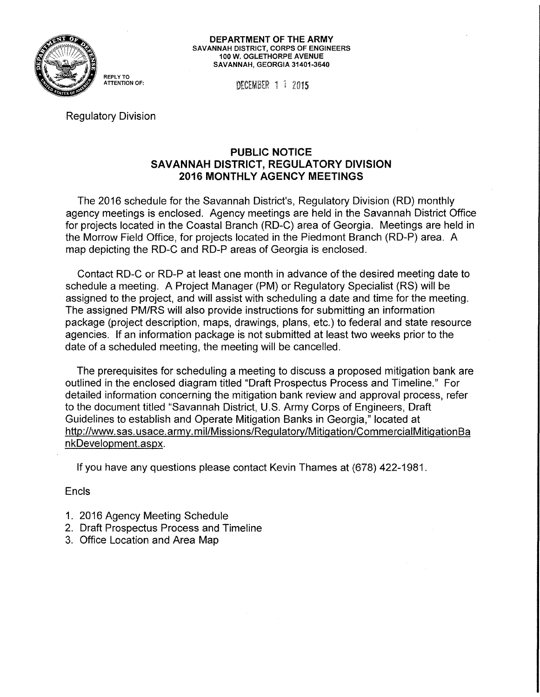

**DEPARTMENT OF THE ARMY**  SAVANNAH DISTRICT, CORPS OF ENGINEERS 100 W. OGLETHORPE AVENUE SAVANNAH, GEORGIA 31401-3640

**DECEMBER 1 1 2015** 

Regulatory Division

## **PUBLIC NOTICE SAVANNAH DISTRICT, REGULATORY DIVISION 2016 MONTHLY AGENCY MEETINGS**

The 2016 schedule for the Savannah District's, Regulatory Division (RD) monthly agency meetings is enclosed. Agency meetings are held in the Savannah District Office for projects located in the Coastal Branch (RD-C) area of Georgia. Meetings are held in the Morrow Field Office, for projects located in the Piedmont Branch (RD-P) area. A map depicting the RD-C and RD-P areas of Georgia is enclosed.

Contact RD-C or RD-P at least one month in advance of the desired meeting date to schedule a meeting. A Project Manager (PM) or Regulatory Specialist (RS) will be assigned to the project, and will assist with scheduling a date and time for the meeting. The assigned PM/RS will also provide instructions for submitting an information package (project description, maps, drawings, plans, etc.) to federal and state resource agencies. If an information package is not submitted at least two weeks prior to the date of a scheduled meeting, the meeting will be cancelled.

The prerequisites for scheduling a meeting to discuss a proposed mitigation bank are outlined in the enclosed diagram titled "Draft Prospectus Process and Timeline." For detailed information concerning the mitigation bank review and approval process, refer to the document titled "Savannah District, U.S. Army Corps of Engineers, Draft Guidelines to establish and Operate Mitigation Banks in Georgia," located at http://www. sas. usace. army. m il/Missions/Regulatory/Mitigation/CommercialMitigation Ba nkDevelopment.aspx.

If you have any questions please contact Kevin Thames at (678) 422-1981.

Encls

- 1. 2016 Agency Meeting Schedule
- 2. Draft Prospectus Process and Timeline
- 3. Office Location and Area Map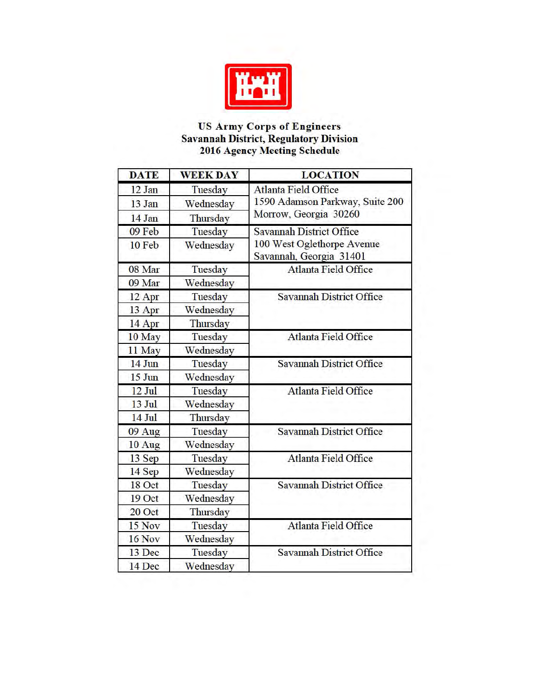

## US Army Corps of Engineers Savannah District, Regulatory Division 2016 Agency Meeting Schedule

| <b>DATE</b>        | <b>WEEK DAY</b> | <b>LOCATION</b>                                                                          |
|--------------------|-----------------|------------------------------------------------------------------------------------------|
| 12 Jan             | Tuesday         | <b>Atlanta Field Office</b><br>1590 Adamson Parkway, Suite 200<br>Morrow, Georgia 30260  |
| 13 Jan             | Wednesday       |                                                                                          |
| 14 Jan             | Thursday        |                                                                                          |
| 09 Feb             | Tuesday         | <b>Savannah District Office</b><br>100 West Oglethorpe Avenue<br>Savannah, Georgia 31401 |
| 10 Feb             | Wednesday       |                                                                                          |
| 08 Mar             | Tuesday         | <b>Atlanta Field Office</b>                                                              |
| 09 Mar             | Wednesday       |                                                                                          |
| 12 Apr             | Tuesday         | <b>Savannah District Office</b>                                                          |
| 13 Apr             | Wednesday       |                                                                                          |
| 14 Apr             | Thursday        |                                                                                          |
| 10 May             | Tuesday         | <b>Atlanta Field Office</b>                                                              |
| 11 May             | Wednesday       |                                                                                          |
| 14 Jun             | Tuesday         | <b>Savannah District Office</b>                                                          |
| $15 \mathrm{J}$ un | Wednesday       |                                                                                          |
| 12 Jul             | Tuesday         | <b>Atlanta Field Office</b>                                                              |
| 13 Jul             | Wednesday       |                                                                                          |
| 14 Jul             | Thursday        |                                                                                          |
| 09 Aug             | Tuesday         | <b>Savannah District Office</b>                                                          |
| 10 Aug             | Wednesday       |                                                                                          |
| 13 Sep             | Tuesday         | <b>Atlanta Field Office</b>                                                              |
| 14 Sep             | Wednesday       |                                                                                          |
| 18 Oct             | Tuesday         | <b>Savannah District Office</b>                                                          |
| 19 Oct             | Wednesday       |                                                                                          |
| 20 Oct             | Thursday        |                                                                                          |
| 15 Nov             | Tuesday         | <b>Atlanta Field Office</b>                                                              |
| 16 Nov             | Wednesday       |                                                                                          |
| 13 Dec             | Tuesday         | <b>Savannah District Office</b>                                                          |
| 14 Dec             | Wednesday       |                                                                                          |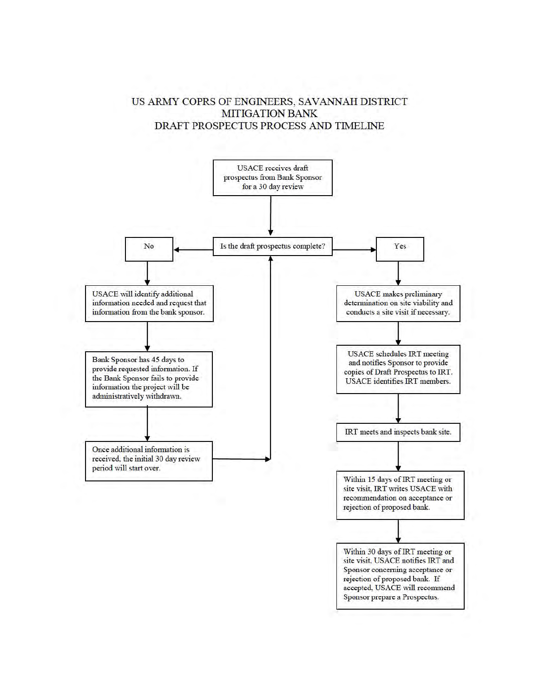## US ARMY COPRS OF ENGINEERS, SAVANNAH DISTRICT MITIGATION BANK DRAFT PROSPECTUS PROCESS AND TIMELINE